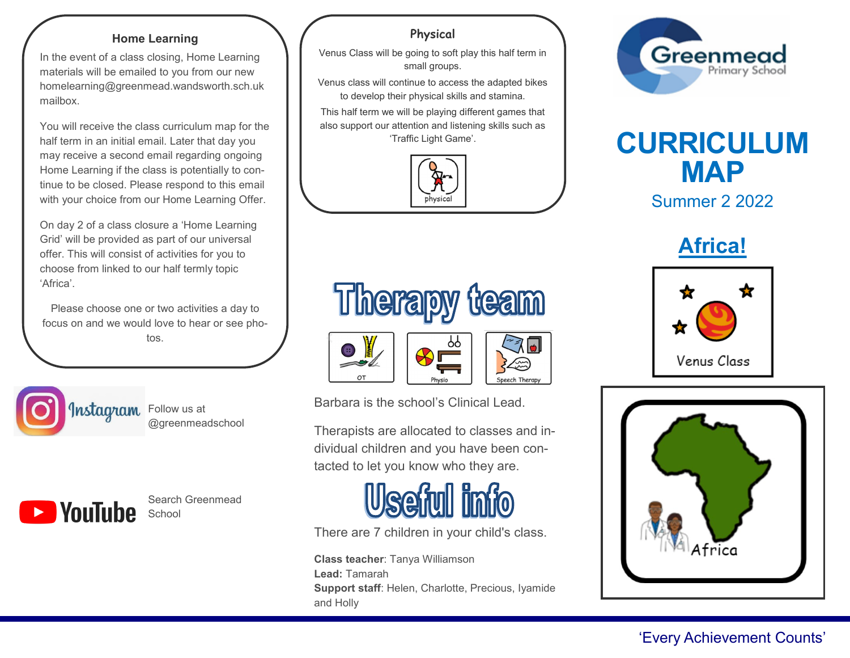#### **Home Learning**

In the event of a class closing, Home Learning materials will be emailed to you from our new homelearning@greenmead.wandsworth.sch.uk mailbox.

You will receive the class curriculum map for the half term in an initial email. Later that day you may receive a second email regarding ongoing Home Learning if the class is potentially to continue to be closed. Please respond to this email with your choice from our Home Learning Offer.

On day 2 of a class closure a 'Home Learning Grid' will be provided as part of our universal offer. This will consist of activities for you to choose from linked to our half termly topic 'Africa'.

Please choose one or two activities a day to focus on and we would love to hear or see photos.

Instagram Follow us at @greenmeadschool

**EXP** YouTube

Ī

Search Greenmead **School** 

## **Physical**

Venus Class will be going to soft play this half term in small groups.

Venus class will continue to access the adapted bikes to develop their physical skills and stamina.

This half term we will be playing different games that also support our attention and listening skills such as





# 'Traffic Light Game'. **CURRICULUM MAP**

Summer 2 2022

**Africa!**









Barbara is the school's Clinical Lead.

Therapists are allocated to classes and individual children and you have been contacted to let you know who they are.



There are 7 children in your child's class.

**Class teacher**: Tanya Williamson **Lead:** Tamarah **Support staff**: Helen, Charlotte, Precious, Iyamide and Holly